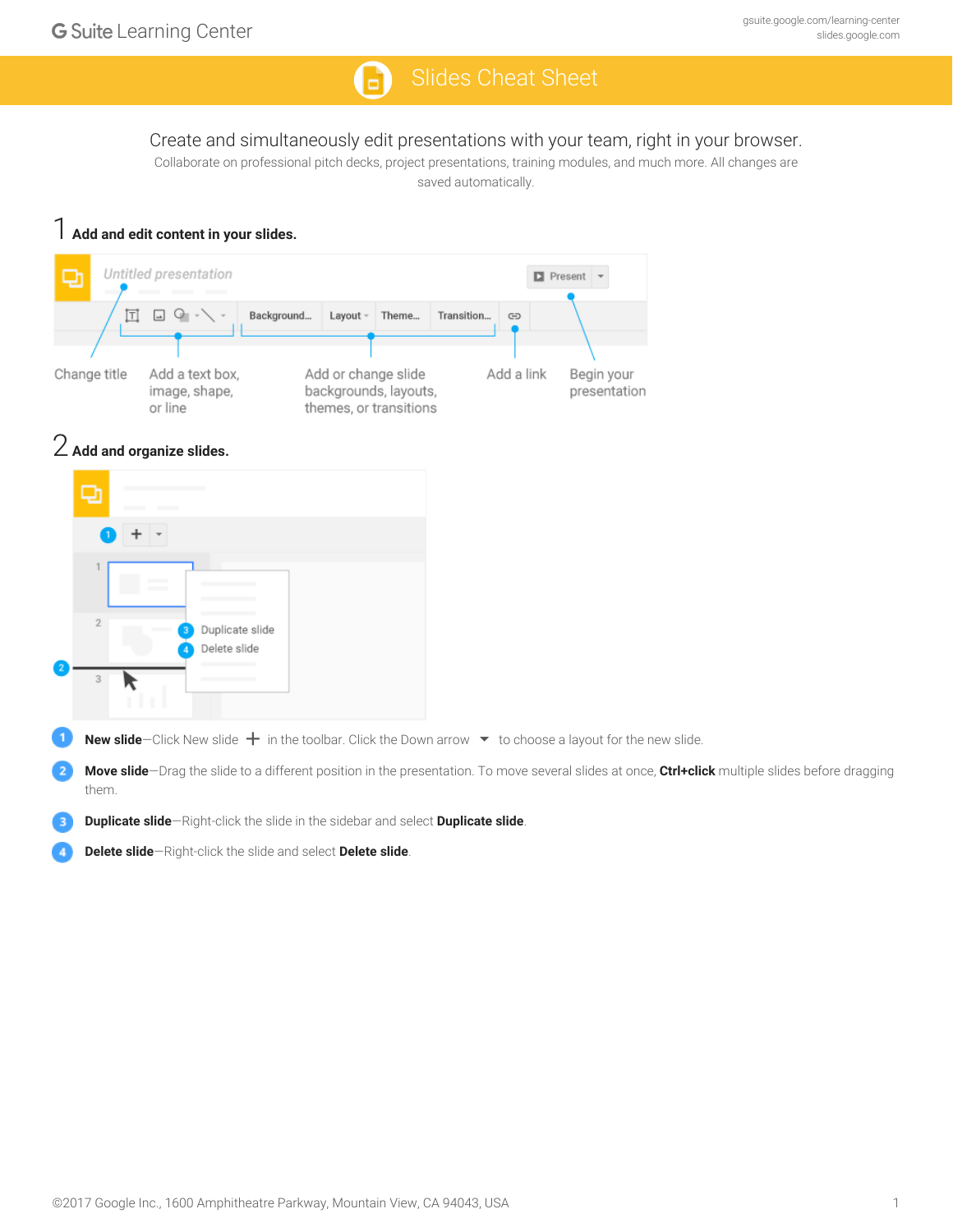## Q)

## Create and simultaneously edit presentations with your team, right in your browser.

Collaborate on professional pitch decks, project presentations, training modules, and much more. All changes are saved automatically.

|                |                     | Add and edit content in your slides.                                                                               |            |                                                                        |            |            |                                             |                                                                                                                                                   |  |
|----------------|---------------------|--------------------------------------------------------------------------------------------------------------------|------------|------------------------------------------------------------------------|------------|------------|---------------------------------------------|---------------------------------------------------------------------------------------------------------------------------------------------------|--|
| ₽              |                     | Untitled presentation                                                                                              |            |                                                                        |            |            | $\blacksquare$ Present $\blacktriangledown$ |                                                                                                                                                   |  |
|                | 冝                   | $\Delta \Delta$<br>$\sigma$                                                                                        | Background | Layout -<br>Theme                                                      | Transition | $\oplus$   |                                             |                                                                                                                                                   |  |
|                | Change title        | Add a text box,<br>image, shape,<br>or line                                                                        |            | Add or change slide<br>backgrounds, layouts,<br>themes, or transitions |            | Add a link | Begin your<br>presentation                  |                                                                                                                                                   |  |
|                |                     | $2$ Add and organize slides.                                                                                       |            |                                                                        |            |            |                                             |                                                                                                                                                   |  |
|                | ⋻                   |                                                                                                                    |            |                                                                        |            |            |                                             |                                                                                                                                                   |  |
|                |                     |                                                                                                                    |            |                                                                        |            |            |                                             |                                                                                                                                                   |  |
|                | 1<br>$\overline{2}$ | Duplicate slide<br>Delete slide                                                                                    |            |                                                                        |            |            |                                             |                                                                                                                                                   |  |
|                | 3<br>ĸ              |                                                                                                                    |            |                                                                        |            |            |                                             |                                                                                                                                                   |  |
| $\mathbf{1}$   |                     | New slide-Click New slide $+$ in the toolbar. Click the Down arrow $\bullet$ to choose a layout for the new slide. |            |                                                                        |            |            |                                             |                                                                                                                                                   |  |
| $\overline{2}$ | them.               |                                                                                                                    |            |                                                                        |            |            |                                             | Move slide-Drag the slide to a different position in the presentation. To move several slides at once, Ctrl+click multiple slides before dragging |  |
| 3              |                     | Duplicate slide-Right-click the slide in the sidebar and select Duplicate slide.                                   |            |                                                                        |            |            |                                             |                                                                                                                                                   |  |
|                |                     | Delete slide-Right-click the slide and select Delete slide.                                                        |            |                                                                        |            |            |                                             |                                                                                                                                                   |  |